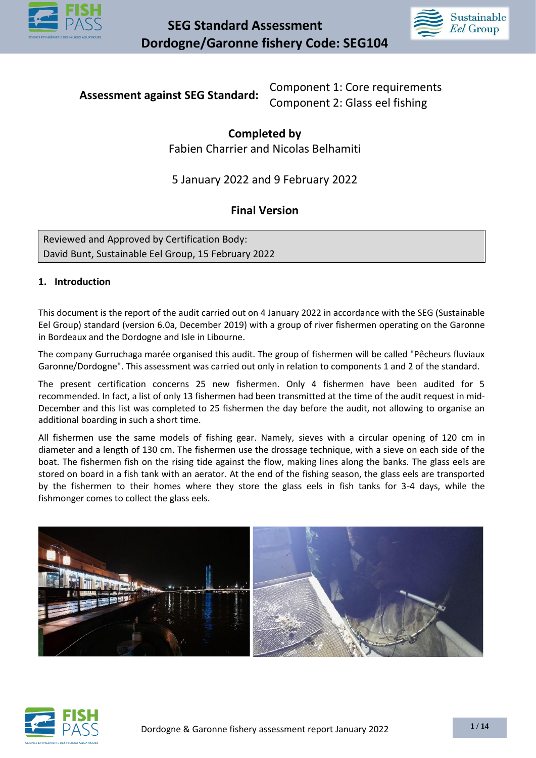



**Assessment against SEG Standard:** Component 1: Core requirements Component 2: Glass eel fishing

### **Completed by**  Fabien Charrier and Nicolas Belhamiti

# 5 January 2022 and 9 February 2022

# **Final Version**

Reviewed and Approved by Certification Body: David Bunt, Sustainable Eel Group, 15 February 2022

#### **1. Introduction**

This document is the report of the audit carried out on 4 January 2022 in accordance with the SEG (Sustainable Eel Group) standard (version 6.0a, December 2019) with a group of river fishermen operating on the Garonne in Bordeaux and the Dordogne and Isle in Libourne.

The company Gurruchaga marée organised this audit. The group of fishermen will be called "Pêcheurs fluviaux Garonne/Dordogne". This assessment was carried out only in relation to components 1 and 2 of the standard.

The present certification concerns 25 new fishermen. Only 4 fishermen have been audited for 5 recommended. In fact, a list of only 13 fishermen had been transmitted at the time of the audit request in mid-December and this list was completed to 25 fishermen the day before the audit, not allowing to organise an additional boarding in such a short time.

All fishermen use the same models of fishing gear. Namely, sieves with a circular opening of 120 cm in diameter and a length of 130 cm. The fishermen use the drossage technique, with a sieve on each side of the boat. The fishermen fish on the rising tide against the flow, making lines along the banks. The glass eels are stored on board in a fish tank with an aerator. At the end of the fishing season, the glass eels are transported by the fishermen to their homes where they store the glass eels in fish tanks for 3-4 days, while the fishmonger comes to collect the glass eels.



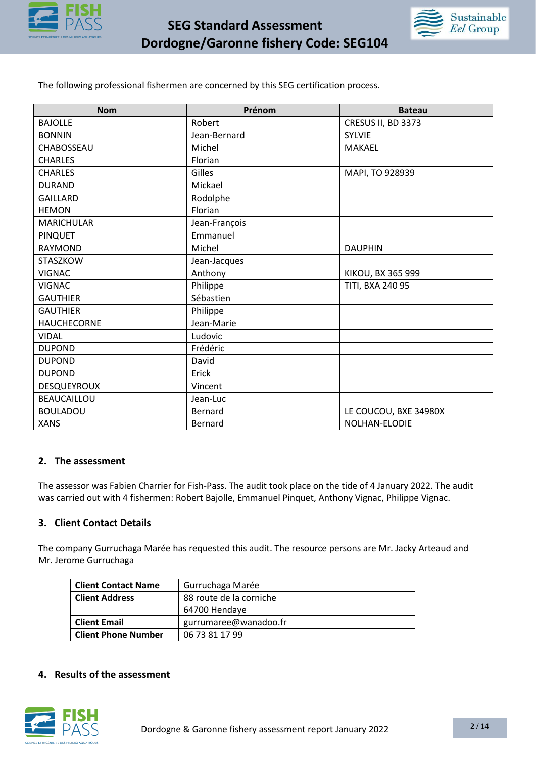



The following professional fishermen are concerned by this SEG certification process.

| <b>Nom</b>         | Prénom        | <b>Bateau</b>         |
|--------------------|---------------|-----------------------|
| <b>BAJOLLE</b>     | Robert        | CRESUS II, BD 3373    |
| <b>BONNIN</b>      | Jean-Bernard  | <b>SYLVIE</b>         |
| CHABOSSEAU         | Michel        | <b>MAKAEL</b>         |
| <b>CHARLES</b>     | Florian       |                       |
| <b>CHARLES</b>     | Gilles        | MAPI, TO 928939       |
| <b>DURAND</b>      | Mickael       |                       |
| <b>GAILLARD</b>    | Rodolphe      |                       |
| <b>HEMON</b>       | Florian       |                       |
| <b>MARICHULAR</b>  | Jean-François |                       |
| <b>PINQUET</b>     | Emmanuel      |                       |
| <b>RAYMOND</b>     | Michel        | <b>DAUPHIN</b>        |
| STASZKOW           | Jean-Jacques  |                       |
| <b>VIGNAC</b>      | Anthony       | KIKOU, BX 365 999     |
| <b>VIGNAC</b>      | Philippe      | TITI, BXA 240 95      |
| <b>GAUTHIER</b>    | Sébastien     |                       |
| <b>GAUTHIER</b>    | Philippe      |                       |
| <b>HAUCHECORNE</b> | Jean-Marie    |                       |
| <b>VIDAL</b>       | Ludovic       |                       |
| <b>DUPOND</b>      | Frédéric      |                       |
| <b>DUPOND</b>      | David         |                       |
| <b>DUPOND</b>      | Erick         |                       |
| <b>DESQUEYROUX</b> | Vincent       |                       |
| <b>BEAUCAILLOU</b> | Jean-Luc      |                       |
| <b>BOULADOU</b>    | Bernard       | LE COUCOU, BXE 34980X |
| <b>XANS</b>        | Bernard       | NOLHAN-ELODIE         |

#### **2. The assessment**

The assessor was Fabien Charrier for Fish-Pass. The audit took place on the tide of 4 January 2022. The audit was carried out with 4 fishermen: Robert Bajolle, Emmanuel Pinquet, Anthony Vignac, Philippe Vignac.

#### **3. Client Contact Details**

The company Gurruchaga Marée has requested this audit. The resource persons are Mr. Jacky Arteaud and Mr. Jerome Gurruchaga

| <b>Client Contact Name</b> | Gurruchaga Marée        |  |
|----------------------------|-------------------------|--|
| <b>Client Address</b>      | 88 route de la corniche |  |
|                            | 64700 Hendaye           |  |
| <b>Client Email</b>        | gurrumaree@wanadoo.fr   |  |
| <b>Client Phone Number</b> | 06 73 81 17 99          |  |

#### **4. Results of the assessment**

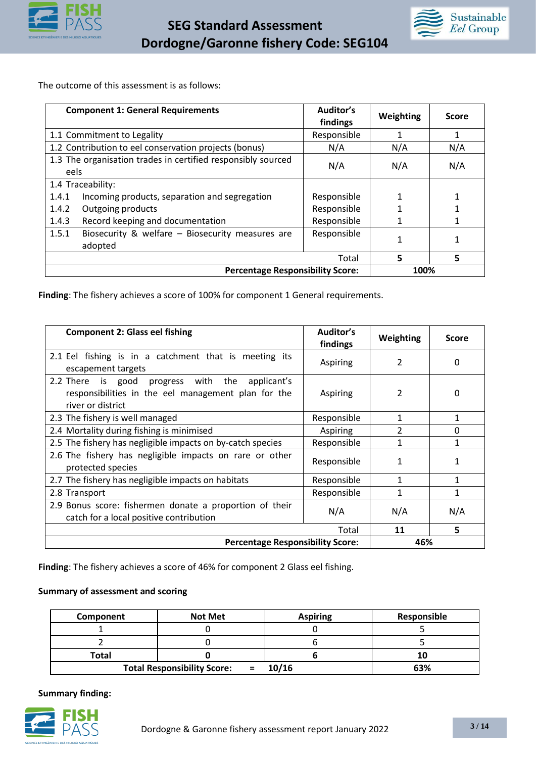



The outcome of this assessment is as follows:

| <b>Component 1: General Requirements</b>                             | Auditor's<br>findings | Weighting | <b>Score</b> |
|----------------------------------------------------------------------|-----------------------|-----------|--------------|
| 1.1 Commitment to Legality                                           | Responsible           |           | 1            |
| 1.2 Contribution to eel conservation projects (bonus)                | N/A                   | N/A       | N/A          |
| 1.3 The organisation trades in certified responsibly sourced<br>eels | N/A                   | N/A       | N/A          |
| 1.4 Traceability:                                                    |                       |           |              |
| Incoming products, separation and segregation<br>1.4.1               | Responsible           |           |              |
| Outgoing products<br>1.4.2                                           | Responsible           |           |              |
| Record keeping and documentation<br>1.4.3                            | Responsible           |           |              |
| 1.5.1<br>Biosecurity & welfare - Biosecurity measures are<br>adopted | Responsible           |           |              |
|                                                                      | Total                 | 5         | 5            |
| <b>Percentage Responsibility Score:</b>                              |                       | 100%      |              |

**Finding**: The fishery achieves a score of 100% for component 1 General requirements.

| <b>Component 2: Glass eel fishing</b>                                                                                          | Auditor's<br>findings | Weighting     | <b>Score</b> |
|--------------------------------------------------------------------------------------------------------------------------------|-----------------------|---------------|--------------|
| 2.1 Eel fishing is in a catchment that is meeting its<br>escapement targets                                                    | Aspiring              | 2             | 0            |
| progress with the applicant's<br>2.2 There is good<br>responsibilities in the eel management plan for the<br>river or district | Aspiring              |               |              |
| 2.3 The fishery is well managed                                                                                                | Responsible           | 1             | 1            |
| 2.4 Mortality during fishing is minimised                                                                                      | Aspiring              | $\mathcal{P}$ | $\Omega$     |
| 2.5 The fishery has negligible impacts on by-catch species                                                                     | Responsible           | 1             | 1            |
| 2.6 The fishery has negligible impacts on rare or other<br>protected species                                                   | Responsible           | 1             |              |
| 2.7 The fishery has negligible impacts on habitats                                                                             | Responsible           | 1             |              |
| 2.8 Transport                                                                                                                  | Responsible           |               |              |
| 2.9 Bonus score: fishermen donate a proportion of their<br>catch for a local positive contribution                             | N/A                   | N/A           | N/A          |
|                                                                                                                                | Total                 | 11            | 5            |
| <b>Percentage Responsibility Score:</b>                                                                                        |                       | 46%           |              |

**Finding**: The fishery achieves a score of 46% for component 2 Glass eel fishing.

#### **Summary of assessment and scoring**

| Component | <b>Not Met</b>                                     | <b>Aspiring</b> | Responsible |
|-----------|----------------------------------------------------|-----------------|-------------|
|           |                                                    |                 |             |
|           |                                                    |                 |             |
| Total     |                                                    |                 |             |
|           | <b>Total Responsibility Score:</b><br>$\mathbf{r}$ | 10/16           | 63%         |

**Summary finding:** 

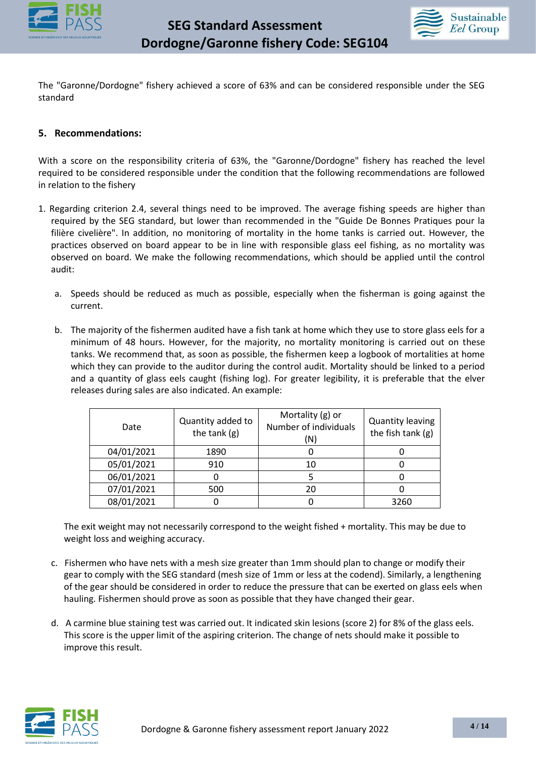



The "Garonne/Dordogne" fishery achieved a score of 63% and can be considered responsible under the SEG standard

#### **5. Recommendations:**

With a score on the responsibility criteria of 63%, the "Garonne/Dordogne" fishery has reached the level required to be considered responsible under the condition that the following recommendations are followed in relation to the fishery

- 1. Regarding criterion 2.4, several things need to be improved. The average fishing speeds are higher than required by the SEG standard, but lower than recommended in the "Guide De Bonnes Pratiques pour la filière civelière". In addition, no monitoring of mortality in the home tanks is carried out. However, the practices observed on board appear to be in line with responsible glass eel fishing, as no mortality was observed on board. We make the following recommendations, which should be applied until the control audit:
	- a. Speeds should be reduced as much as possible, especially when the fisherman is going against the current.
	- b. The majority of the fishermen audited have a fish tank at home which they use to store glass eels for a minimum of 48 hours. However, for the majority, no mortality monitoring is carried out on these tanks. We recommend that, as soon as possible, the fishermen keep a logbook of mortalities at home which they can provide to the auditor during the control audit. Mortality should be linked to a period and a quantity of glass eels caught (fishing log). For greater legibility, it is preferable that the elver releases during sales are also indicated. An example:

| Date       | Quantity added to<br>the tank (g) | Mortality (g) or<br>Number of individuals<br>'N) | <b>Quantity leaving</b><br>the fish tank (g) |
|------------|-----------------------------------|--------------------------------------------------|----------------------------------------------|
| 04/01/2021 | 1890                              |                                                  |                                              |
| 05/01/2021 | 910                               |                                                  |                                              |
| 06/01/2021 |                                   |                                                  |                                              |
| 07/01/2021 | 500                               | 20                                               |                                              |
| 08/01/2021 |                                   |                                                  | 3260                                         |

The exit weight may not necessarily correspond to the weight fished + mortality. This may be due to weight loss and weighing accuracy.

- c. Fishermen who have nets with a mesh size greater than 1mm should plan to change or modify their gear to comply with the SEG standard (mesh size of 1mm or less at the codend). Similarly, a lengthening of the gear should be considered in order to reduce the pressure that can be exerted on glass eels when hauling. Fishermen should prove as soon as possible that they have changed their gear.
- d. A carmine blue staining test was carried out. It indicated skin lesions (score 2) for 8% of the glass eels. This score is the upper limit of the aspiring criterion. The change of nets should make it possible to improve this result.

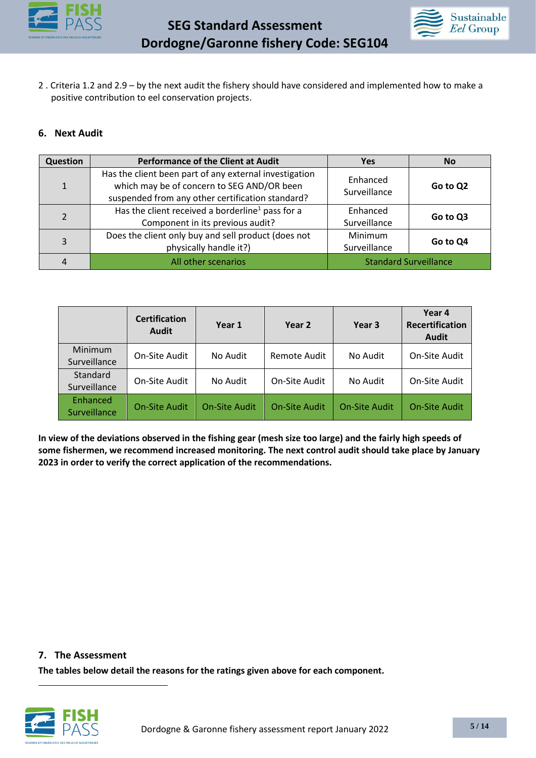



2 . Criteria 1.2 and 2.9 – by the next audit the fishery should have considered and implemented how to make a positive contribution to eel conservation projects.

#### **6. Next Audit**

| Question       | <b>Performance of the Client at Audit</b>                                                                                                                | <b>Yes</b>                     | <b>No</b> |
|----------------|----------------------------------------------------------------------------------------------------------------------------------------------------------|--------------------------------|-----------|
| $\mathbf{1}$   | Has the client been part of any external investigation<br>which may be of concern to SEG AND/OR been<br>suspended from any other certification standard? | Enhanced<br>Surveillance       | Go to Q2  |
| $\mathfrak{p}$ | Has the client received a borderline <sup>1</sup> pass for a<br>Component in its previous audit?                                                         | Enhanced<br>Surveillance       | Go to Q3  |
| 3              | Does the client only buy and sell product (does not<br>physically handle it?)                                                                            | <b>Minimum</b><br>Surveillance | Go to Q4  |
| 4              | All other scenarios                                                                                                                                      | <b>Standard Surveillance</b>   |           |

|                          | <b>Certification</b><br><b>Audit</b> | Year 1               | Year 2               | Year 3               | Year 4<br><b>Recertification</b><br><b>Audit</b> |
|--------------------------|--------------------------------------|----------------------|----------------------|----------------------|--------------------------------------------------|
| Minimum<br>Surveillance  | On-Site Audit                        | No Audit             | Remote Audit         | No Audit             | On-Site Audit                                    |
| Standard<br>Surveillance | On-Site Audit                        | No Audit             | On-Site Audit        | No Audit             | On-Site Audit                                    |
| Enhanced<br>Surveillance | <b>On-Site Audit</b>                 | <b>On-Site Audit</b> | <b>On-Site Audit</b> | <b>On-Site Audit</b> | <b>On-Site Audit</b>                             |

**In view of the deviations observed in the fishing gear (mesh size too large) and the fairly high speeds of some fishermen, we recommend increased monitoring. The next control audit should take place by January 2023 in order to verify the correct application of the recommendations.**

**7. The Assessment**

**The tables below detail the reasons for the ratings given above for each component.**

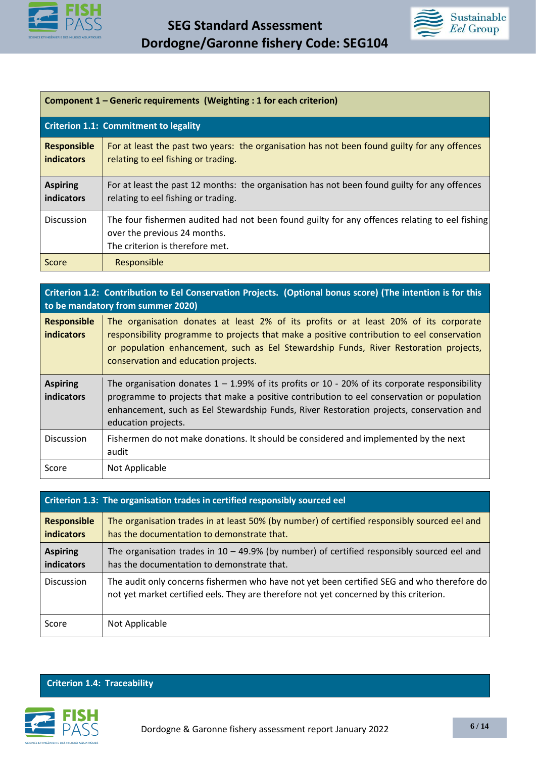



| Component 1 – Generic requirements (Weighting: 1 for each criterion) |                                                                                                                                                                  |  |
|----------------------------------------------------------------------|------------------------------------------------------------------------------------------------------------------------------------------------------------------|--|
|                                                                      | <b>Criterion 1.1: Commitment to legality</b>                                                                                                                     |  |
| <b>Responsible</b><br><b>indicators</b>                              | For at least the past two years: the organisation has not been found guilty for any offences<br>relating to eel fishing or trading.                              |  |
| <b>Aspiring</b><br><b>indicators</b>                                 | For at least the past 12 months: the organisation has not been found guilty for any offences<br>relating to eel fishing or trading.                              |  |
| <b>Discussion</b>                                                    | The four fishermen audited had not been found guilty for any offences relating to eel fishing<br>over the previous 24 months.<br>The criterion is therefore met. |  |
| Score                                                                | Responsible                                                                                                                                                      |  |

**Criterion 1.2: Contribution to Eel Conservation Projects. (Optional bonus score) (The intention is for this to be mandatory from summer 2020) Responsible indicators**  The organisation donates at least 2% of its profits or at least 20% of its corporate responsibility programme to projects that make a positive contribution to eel conservation or population enhancement, such as Eel Stewardship Funds, River Restoration projects, conservation and education projects. **Aspiring indicators**  The organisation donates  $1 - 1.99%$  of its profits or 10 - 20% of its corporate responsibility programme to projects that make a positive contribution to eel conservation or population enhancement, such as Eel Stewardship Funds, River Restoration projects, conservation and education projects. Discussion Fishermen do not make donations. It should be considered and implemented by the next audit Score | Not Applicable

|                                         | Criterion 1.3: The organisation trades in certified responsibly sourced eel                                                                                                          |
|-----------------------------------------|--------------------------------------------------------------------------------------------------------------------------------------------------------------------------------------|
| <b>Responsible</b><br><b>indicators</b> | The organisation trades in at least 50% (by number) of certified responsibly sourced eel and<br>has the documentation to demonstrate that.                                           |
| <b>Aspiring</b><br><b>indicators</b>    | The organisation trades in $10 - 49.9\%$ (by number) of certified responsibly sourced eel and<br>has the documentation to demonstrate that.                                          |
| <b>Discussion</b>                       | The audit only concerns fishermen who have not yet been certified SEG and who therefore do<br>not yet market certified eels. They are therefore not yet concerned by this criterion. |
| Score                                   | Not Applicable                                                                                                                                                                       |

#### **Criterion 1.4: Traceability**

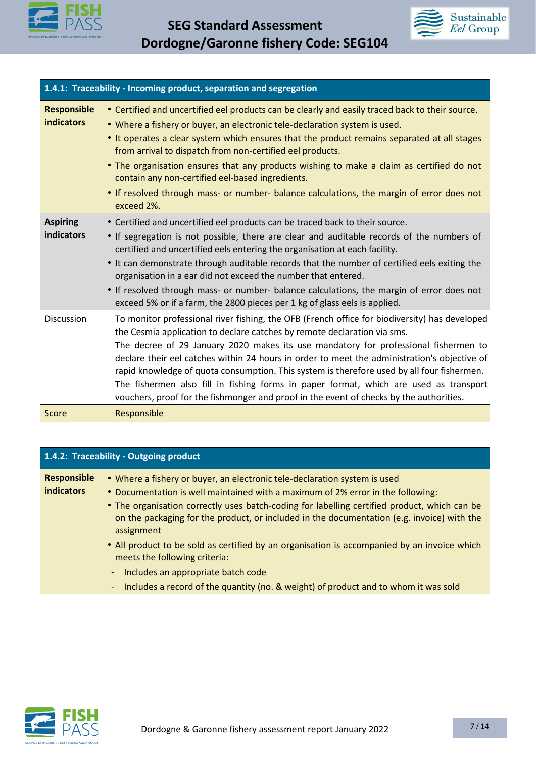



|                                         | 1.4.1: Traceability - Incoming product, separation and segregation                                                                                                                                                                                                                                                                                                                                                                                                                                                                                                                                                                                 |
|-----------------------------------------|----------------------------------------------------------------------------------------------------------------------------------------------------------------------------------------------------------------------------------------------------------------------------------------------------------------------------------------------------------------------------------------------------------------------------------------------------------------------------------------------------------------------------------------------------------------------------------------------------------------------------------------------------|
| <b>Responsible</b><br><b>indicators</b> | • Certified and uncertified eel products can be clearly and easily traced back to their source.<br>. Where a fishery or buyer, an electronic tele-declaration system is used.<br>. It operates a clear system which ensures that the product remains separated at all stages<br>from arrival to dispatch from non-certified eel products.<br>. The organisation ensures that any products wishing to make a claim as certified do not<br>contain any non-certified eel-based ingredients.<br>. If resolved through mass- or number- balance calculations, the margin of error does not<br>exceed 2%.                                               |
| <b>Aspiring</b><br>indicators           | • Certified and uncertified eel products can be traced back to their source.<br>• If segregation is not possible, there are clear and auditable records of the numbers of<br>certified and uncertified eels entering the organisation at each facility.<br>. It can demonstrate through auditable records that the number of certified eels exiting the<br>organisation in a ear did not exceed the number that entered.<br>• If resolved through mass- or number- balance calculations, the margin of error does not<br>exceed 5% or if a farm, the 2800 pieces per 1 kg of glass eels is applied.                                                |
| <b>Discussion</b>                       | To monitor professional river fishing, the OFB (French office for biodiversity) has developed<br>the Cesmia application to declare catches by remote declaration via sms.<br>The decree of 29 January 2020 makes its use mandatory for professional fishermen to<br>declare their eel catches within 24 hours in order to meet the administration's objective of<br>rapid knowledge of quota consumption. This system is therefore used by all four fishermen.<br>The fishermen also fill in fishing forms in paper format, which are used as transport<br>vouchers, proof for the fishmonger and proof in the event of checks by the authorities. |
| Score                                   | Responsible                                                                                                                                                                                                                                                                                                                                                                                                                                                                                                                                                                                                                                        |

|                                         | 1.4.2: Traceability - Outgoing product                                                                                                                                                                                                                                                                                                                                   |
|-----------------------------------------|--------------------------------------------------------------------------------------------------------------------------------------------------------------------------------------------------------------------------------------------------------------------------------------------------------------------------------------------------------------------------|
| <b>Responsible</b><br><b>indicators</b> | • Where a fishery or buyer, an electronic tele-declaration system is used<br>. Documentation is well maintained with a maximum of 2% error in the following:<br>• The organisation correctly uses batch-coding for labelling certified product, which can be<br>on the packaging for the product, or included in the documentation (e.g. invoice) with the<br>assignment |
|                                         | • All product to be sold as certified by an organisation is accompanied by an invoice which<br>meets the following criteria:                                                                                                                                                                                                                                             |
|                                         | Includes an appropriate batch code<br>٠<br>Includes a record of the quantity (no. & weight) of product and to whom it was sold                                                                                                                                                                                                                                           |

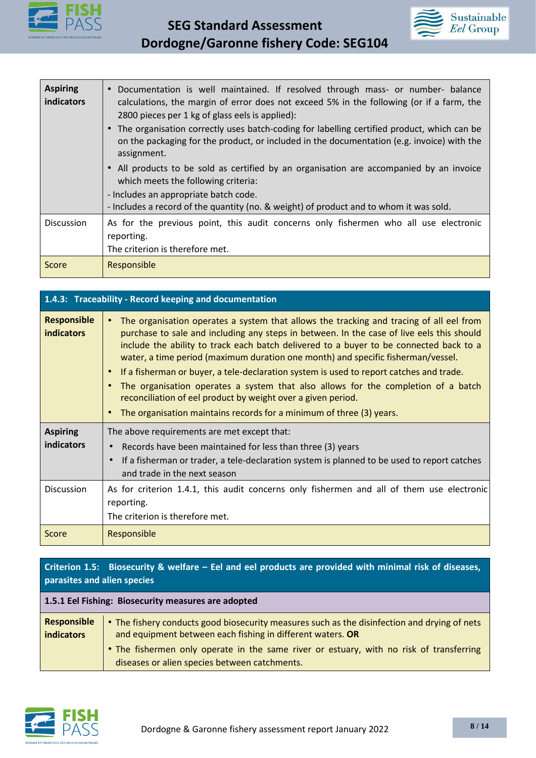



| <b>Aspiring</b><br>indicators | Documentation is well maintained. If resolved through mass- or number- balance<br>$\bullet$<br>calculations, the margin of error does not exceed 5% in the following (or if a farm, the<br>2800 pieces per 1 kg of glass eels is applied):<br>The organisation correctly uses batch-coding for labelling certified product, which can be<br>on the packaging for the product, or included in the documentation (e.g. invoice) with the<br>assignment. |
|-------------------------------|-------------------------------------------------------------------------------------------------------------------------------------------------------------------------------------------------------------------------------------------------------------------------------------------------------------------------------------------------------------------------------------------------------------------------------------------------------|
|                               | All products to be sold as certified by an organisation are accompanied by an invoice<br>which meets the following criteria:<br>- Includes an appropriate batch code.<br>- Includes a record of the quantity (no. & weight) of product and to whom it was sold.                                                                                                                                                                                       |
| <b>Discussion</b>             | As for the previous point, this audit concerns only fishermen who all use electronic<br>reporting.<br>The criterion is therefore met.                                                                                                                                                                                                                                                                                                                 |
| Score                         | Responsible                                                                                                                                                                                                                                                                                                                                                                                                                                           |

| 1.4.3: Traceability - Record keeping and documentation |                                                                                                                                                                                                                                                                                                                                                                                                                                                                                                                                                                                                                                                                                                                                                |
|--------------------------------------------------------|------------------------------------------------------------------------------------------------------------------------------------------------------------------------------------------------------------------------------------------------------------------------------------------------------------------------------------------------------------------------------------------------------------------------------------------------------------------------------------------------------------------------------------------------------------------------------------------------------------------------------------------------------------------------------------------------------------------------------------------------|
| <b>Responsible</b><br><b>indicators</b>                | The organisation operates a system that allows the tracking and tracing of all eel from<br>$\bullet$<br>purchase to sale and including any steps in between. In the case of live eels this should<br>include the ability to track each batch delivered to a buyer to be connected back to a<br>water, a time period (maximum duration one month) and specific fisherman/vessel.<br>If a fisherman or buyer, a tele-declaration system is used to report catches and trade.<br>$\bullet$<br>The organisation operates a system that also allows for the completion of a batch<br>$\bullet$<br>reconciliation of eel product by weight over a given period.<br>The organisation maintains records for a minimum of three (3) years.<br>$\bullet$ |
| <b>Aspiring</b><br>indicators                          | The above requirements are met except that:<br>Records have been maintained for less than three (3) years<br>If a fisherman or trader, a tele-declaration system is planned to be used to report catches<br>and trade in the next season                                                                                                                                                                                                                                                                                                                                                                                                                                                                                                       |
| <b>Discussion</b>                                      | As for criterion 1.4.1, this audit concerns only fishermen and all of them use electronic<br>reporting.<br>The criterion is therefore met.                                                                                                                                                                                                                                                                                                                                                                                                                                                                                                                                                                                                     |
| Score                                                  | Responsible                                                                                                                                                                                                                                                                                                                                                                                                                                                                                                                                                                                                                                                                                                                                    |

## **Criterion 1.5: Biosecurity & welfare – Eel and eel products are provided with minimal risk of diseases, parasites and alien species**

| 1.5.1 Eel Fishing: Biosecurity measures are adopted |                                                                                                                                                            |
|-----------------------------------------------------|------------------------------------------------------------------------------------------------------------------------------------------------------------|
| Responsible<br>indicators                           | • The fishery conducts good biosecurity measures such as the disinfection and drying of nets<br>and equipment between each fishing in different waters. OR |
|                                                     | • The fishermen only operate in the same river or estuary, with no risk of transferring<br>diseases or alien species between catchments.                   |

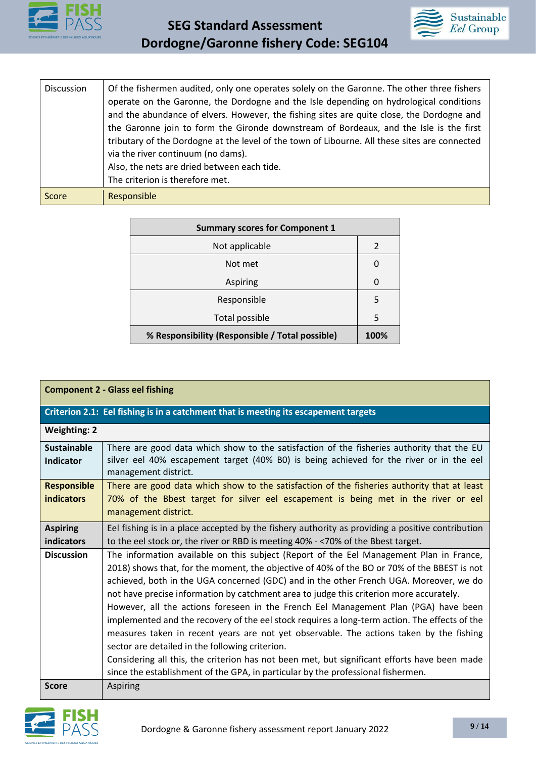



| <b>Discussion</b> | Of the fishermen audited, only one operates solely on the Garonne. The other three fishers<br>operate on the Garonne, the Dordogne and the Isle depending on hydrological conditions<br>and the abundance of elvers. However, the fishing sites are quite close, the Dordogne and<br>the Garonne join to form the Gironde downstream of Bordeaux, and the Isle is the first<br>tributary of the Dordogne at the level of the town of Libourne. All these sites are connected<br>via the river continuum (no dams).<br>Also, the nets are dried between each tide.<br>The criterion is therefore met. |
|-------------------|------------------------------------------------------------------------------------------------------------------------------------------------------------------------------------------------------------------------------------------------------------------------------------------------------------------------------------------------------------------------------------------------------------------------------------------------------------------------------------------------------------------------------------------------------------------------------------------------------|
| Score             | Responsible                                                                                                                                                                                                                                                                                                                                                                                                                                                                                                                                                                                          |

| <b>Summary scores for Component 1</b>           |               |
|-------------------------------------------------|---------------|
| Not applicable                                  | $\mathcal{P}$ |
| Not met                                         | O             |
| Aspiring                                        | O             |
| Responsible                                     | 5             |
| Total possible                                  | 5             |
| % Responsibility (Responsible / Total possible) | 100%          |

| <b>Component 2 - Glass eel fishing</b>                                              |                                                                                                                                                                                                                                                                                                                                                                                                                                                                                                                                                                                                                                                                                                                                                                                                                                                                                                       |
|-------------------------------------------------------------------------------------|-------------------------------------------------------------------------------------------------------------------------------------------------------------------------------------------------------------------------------------------------------------------------------------------------------------------------------------------------------------------------------------------------------------------------------------------------------------------------------------------------------------------------------------------------------------------------------------------------------------------------------------------------------------------------------------------------------------------------------------------------------------------------------------------------------------------------------------------------------------------------------------------------------|
| Criterion 2.1: Eel fishing is in a catchment that is meeting its escapement targets |                                                                                                                                                                                                                                                                                                                                                                                                                                                                                                                                                                                                                                                                                                                                                                                                                                                                                                       |
| <b>Weighting: 2</b>                                                                 |                                                                                                                                                                                                                                                                                                                                                                                                                                                                                                                                                                                                                                                                                                                                                                                                                                                                                                       |
| <b>Sustainable</b><br><b>Indicator</b>                                              | There are good data which show to the satisfaction of the fisheries authority that the EU<br>silver eel 40% escapement target (40% B0) is being achieved for the river or in the eel<br>management district.                                                                                                                                                                                                                                                                                                                                                                                                                                                                                                                                                                                                                                                                                          |
| <b>Responsible</b><br><b>indicators</b>                                             | There are good data which show to the satisfaction of the fisheries authority that at least<br>70% of the Bbest target for silver eel escapement is being met in the river or eel<br>management district.                                                                                                                                                                                                                                                                                                                                                                                                                                                                                                                                                                                                                                                                                             |
| <b>Aspiring</b><br>indicators                                                       | Eel fishing is in a place accepted by the fishery authority as providing a positive contribution<br>to the eel stock or, the river or RBD is meeting 40% - < 70% of the Bbest target.                                                                                                                                                                                                                                                                                                                                                                                                                                                                                                                                                                                                                                                                                                                 |
| <b>Discussion</b>                                                                   | The information available on this subject (Report of the Eel Management Plan in France,<br>2018) shows that, for the moment, the objective of 40% of the BO or 70% of the BBEST is not<br>achieved, both in the UGA concerned (GDC) and in the other French UGA. Moreover, we do<br>not have precise information by catchment area to judge this criterion more accurately.<br>However, all the actions foreseen in the French Eel Management Plan (PGA) have been<br>implemented and the recovery of the eel stock requires a long-term action. The effects of the<br>measures taken in recent years are not yet observable. The actions taken by the fishing<br>sector are detailed in the following criterion.<br>Considering all this, the criterion has not been met, but significant efforts have been made<br>since the establishment of the GPA, in particular by the professional fishermen. |
| <b>Score</b>                                                                        | <b>Aspiring</b>                                                                                                                                                                                                                                                                                                                                                                                                                                                                                                                                                                                                                                                                                                                                                                                                                                                                                       |

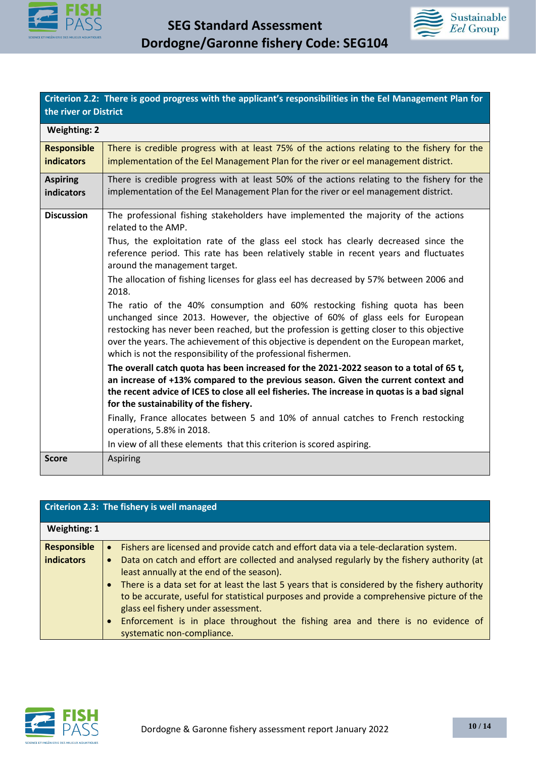



**Criterion 2.2: There is good progress with the applicant's responsibilities in the Eel Management Plan for the river or District** 

| <b>Weighting: 2</b>                     |                                                                                                                                                                                                                                                                                                                                                                                                                                                                                                                                                                                                                                                                                                                                                                                                                                                                                                                                                                                                                                                                                                                                        |
|-----------------------------------------|----------------------------------------------------------------------------------------------------------------------------------------------------------------------------------------------------------------------------------------------------------------------------------------------------------------------------------------------------------------------------------------------------------------------------------------------------------------------------------------------------------------------------------------------------------------------------------------------------------------------------------------------------------------------------------------------------------------------------------------------------------------------------------------------------------------------------------------------------------------------------------------------------------------------------------------------------------------------------------------------------------------------------------------------------------------------------------------------------------------------------------------|
| <b>Responsible</b><br><b>indicators</b> | There is credible progress with at least 75% of the actions relating to the fishery for the<br>implementation of the Eel Management Plan for the river or eel management district.                                                                                                                                                                                                                                                                                                                                                                                                                                                                                                                                                                                                                                                                                                                                                                                                                                                                                                                                                     |
| <b>Aspiring</b><br><b>indicators</b>    | There is credible progress with at least 50% of the actions relating to the fishery for the<br>implementation of the Eel Management Plan for the river or eel management district.                                                                                                                                                                                                                                                                                                                                                                                                                                                                                                                                                                                                                                                                                                                                                                                                                                                                                                                                                     |
| <b>Discussion</b>                       | The professional fishing stakeholders have implemented the majority of the actions<br>related to the AMP.<br>Thus, the exploitation rate of the glass eel stock has clearly decreased since the<br>reference period. This rate has been relatively stable in recent years and fluctuates<br>around the management target.<br>The allocation of fishing licenses for glass eel has decreased by 57% between 2006 and<br>2018.<br>The ratio of the 40% consumption and 60% restocking fishing quota has been<br>unchanged since 2013. However, the objective of 60% of glass eels for European<br>restocking has never been reached, but the profession is getting closer to this objective<br>over the years. The achievement of this objective is dependent on the European market,<br>which is not the responsibility of the professional fishermen.<br>The overall catch quota has been increased for the 2021-2022 season to a total of 65 t,<br>an increase of +13% compared to the previous season. Given the current context and<br>the recent advice of ICES to close all eel fisheries. The increase in quotas is a bad signal |
|                                         | for the sustainability of the fishery.<br>Finally, France allocates between 5 and 10% of annual catches to French restocking<br>operations, 5.8% in 2018.                                                                                                                                                                                                                                                                                                                                                                                                                                                                                                                                                                                                                                                                                                                                                                                                                                                                                                                                                                              |
| <b>Score</b>                            | In view of all these elements that this criterion is scored aspiring.<br><b>Aspiring</b>                                                                                                                                                                                                                                                                                                                                                                                                                                                                                                                                                                                                                                                                                                                                                                                                                                                                                                                                                                                                                                               |

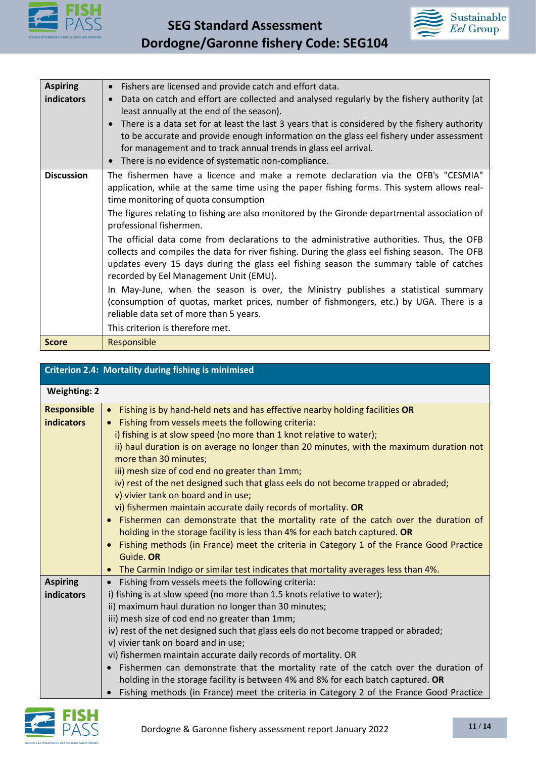



| <b>Aspiring</b>   | Fishers are licensed and provide catch and effort data.                                        |
|-------------------|------------------------------------------------------------------------------------------------|
| indicators        | Data on catch and effort are collected and analysed regularly by the fishery authority (at     |
|                   | least annually at the end of the season).                                                      |
|                   | There is a data set for at least the last 3 years that is considered by the fishery authority  |
|                   | to be accurate and provide enough information on the glass eel fishery under assessment        |
|                   | for management and to track annual trends in glass eel arrival.                                |
|                   | There is no evidence of systematic non-compliance.                                             |
| <b>Discussion</b> | The fishermen have a licence and make a remote declaration via the OFB's "CESMIA"              |
|                   | application, while at the same time using the paper fishing forms. This system allows real-    |
|                   | time monitoring of quota consumption                                                           |
|                   | The figures relating to fishing are also monitored by the Gironde departmental association of  |
|                   | professional fishermen.                                                                        |
|                   | The official data come from declarations to the administrative authorities. Thus, the OFB      |
|                   | collects and compiles the data for river fishing. During the glass eel fishing season. The OFB |
|                   | updates every 15 days during the glass eel fishing season the summary table of catches         |
|                   | recorded by Eel Management Unit (EMU).                                                         |
|                   | In May-June, when the season is over, the Ministry publishes a statistical summary             |
|                   | (consumption of quotas, market prices, number of fishmongers, etc.) by UGA. There is a         |
|                   | reliable data set of more than 5 years.                                                        |
|                   | This criterion is therefore met.                                                               |
|                   |                                                                                                |
| <b>Score</b>      | Responsible                                                                                    |

| <b>Criterion 2.4: Mortality during fishing is minimised</b> |                                                                                                                                                                                                                                                                                                                                                                                                                                                                                                                                                                                                                                                                                                                                                                                                                                                                                                                                                                                            |
|-------------------------------------------------------------|--------------------------------------------------------------------------------------------------------------------------------------------------------------------------------------------------------------------------------------------------------------------------------------------------------------------------------------------------------------------------------------------------------------------------------------------------------------------------------------------------------------------------------------------------------------------------------------------------------------------------------------------------------------------------------------------------------------------------------------------------------------------------------------------------------------------------------------------------------------------------------------------------------------------------------------------------------------------------------------------|
| <b>Weighting: 2</b>                                         |                                                                                                                                                                                                                                                                                                                                                                                                                                                                                                                                                                                                                                                                                                                                                                                                                                                                                                                                                                                            |
| <b>Responsible</b><br>indicators                            | Fishing is by hand-held nets and has effective nearby holding facilities OR<br>$\bullet$<br>Fishing from vessels meets the following criteria:<br>i) fishing is at slow speed (no more than 1 knot relative to water);<br>ii) haul duration is on average no longer than 20 minutes, with the maximum duration not<br>more than 30 minutes;<br>iii) mesh size of cod end no greater than 1mm;<br>iv) rest of the net designed such that glass eels do not become trapped or abraded;<br>v) vivier tank on board and in use;<br>vi) fishermen maintain accurate daily records of mortality. OR<br>Fishermen can demonstrate that the mortality rate of the catch over the duration of<br>$\bullet$<br>holding in the storage facility is less than 4% for each batch captured. OR<br>Fishing methods (in France) meet the criteria in Category 1 of the France Good Practice<br>$\bullet$<br>Guide. OR<br>The Carmin Indigo or similar test indicates that mortality averages less than 4%. |
| <b>Aspiring</b><br>indicators                               | Fishing from vessels meets the following criteria:<br>$\bullet$<br>i) fishing is at slow speed (no more than 1.5 knots relative to water);<br>ii) maximum haul duration no longer than 30 minutes;<br>iii) mesh size of cod end no greater than 1mm;<br>iv) rest of the net designed such that glass eels do not become trapped or abraded;<br>v) vivier tank on board and in use;<br>vi) fishermen maintain accurate daily records of mortality. OR<br>Fishermen can demonstrate that the mortality rate of the catch over the duration of<br>$\bullet$<br>holding in the storage facility is between 4% and 8% for each batch captured. OR<br>Fishing methods (in France) meet the criteria in Category 2 of the France Good Practice                                                                                                                                                                                                                                                    |

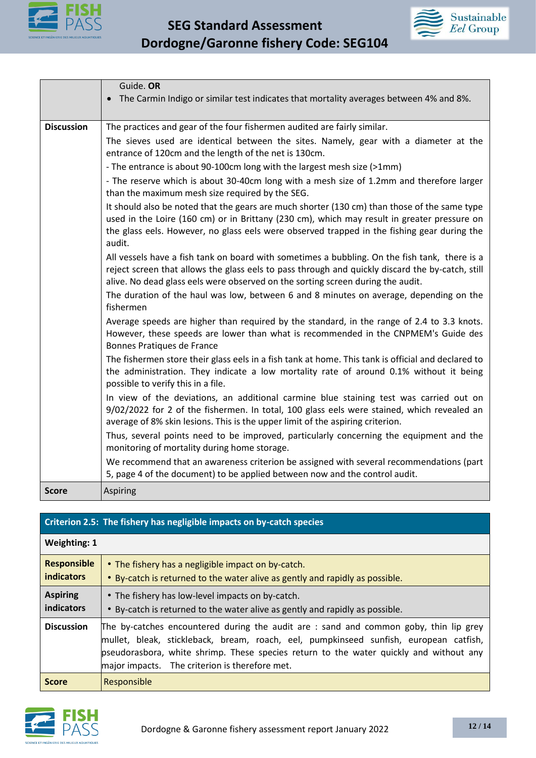



|                   | Guide. OR                                                                                                                                                                                                                                                                                            |
|-------------------|------------------------------------------------------------------------------------------------------------------------------------------------------------------------------------------------------------------------------------------------------------------------------------------------------|
|                   | The Carmin Indigo or similar test indicates that mortality averages between 4% and 8%.<br>$\bullet$                                                                                                                                                                                                  |
|                   |                                                                                                                                                                                                                                                                                                      |
| <b>Discussion</b> | The practices and gear of the four fishermen audited are fairly similar.                                                                                                                                                                                                                             |
|                   | The sieves used are identical between the sites. Namely, gear with a diameter at the<br>entrance of 120cm and the length of the net is 130cm.                                                                                                                                                        |
|                   | - The entrance is about 90-100cm long with the largest mesh size (>1mm)                                                                                                                                                                                                                              |
|                   | - The reserve which is about 30-40cm long with a mesh size of 1.2mm and therefore larger<br>than the maximum mesh size required by the SEG.                                                                                                                                                          |
|                   | It should also be noted that the gears are much shorter (130 cm) than those of the same type<br>used in the Loire (160 cm) or in Brittany (230 cm), which may result in greater pressure on<br>the glass eels. However, no glass eels were observed trapped in the fishing gear during the<br>audit. |
|                   | All vessels have a fish tank on board with sometimes a bubbling. On the fish tank, there is a<br>reject screen that allows the glass eels to pass through and quickly discard the by-catch, still<br>alive. No dead glass eels were observed on the sorting screen during the audit.                 |
|                   | The duration of the haul was low, between 6 and 8 minutes on average, depending on the<br>fishermen                                                                                                                                                                                                  |
|                   | Average speeds are higher than required by the standard, in the range of 2.4 to 3.3 knots.<br>However, these speeds are lower than what is recommended in the CNPMEM's Guide des<br>Bonnes Pratiques de France                                                                                       |
|                   | The fishermen store their glass eels in a fish tank at home. This tank is official and declared to<br>the administration. They indicate a low mortality rate of around 0.1% without it being<br>possible to verify this in a file.                                                                   |
|                   | In view of the deviations, an additional carmine blue staining test was carried out on<br>9/02/2022 for 2 of the fishermen. In total, 100 glass eels were stained, which revealed an<br>average of 8% skin lesions. This is the upper limit of the aspiring criterion.                               |
|                   | Thus, several points need to be improved, particularly concerning the equipment and the<br>monitoring of mortality during home storage.                                                                                                                                                              |
|                   | We recommend that an awareness criterion be assigned with several recommendations (part<br>5, page 4 of the document) to be applied between now and the control audit.                                                                                                                               |
| <b>Score</b>      | Aspiring                                                                                                                                                                                                                                                                                             |

# **Criterion 2.5: The fishery has negligible impacts on by-catch species**

| <b>Weighting: 1</b>                     |                                                                                                                                                                                                                                                                                                                            |
|-----------------------------------------|----------------------------------------------------------------------------------------------------------------------------------------------------------------------------------------------------------------------------------------------------------------------------------------------------------------------------|
| <b>Responsible</b><br><b>indicators</b> | • The fishery has a negligible impact on by-catch.<br>• By-catch is returned to the water alive as gently and rapidly as possible.                                                                                                                                                                                         |
| <b>Aspiring</b><br>indicators           | • The fishery has low-level impacts on by-catch.<br>• By-catch is returned to the water alive as gently and rapidly as possible.                                                                                                                                                                                           |
| <b>Discussion</b>                       | The by-catches encountered during the audit are : sand and common goby, thin lip grey<br>mullet, bleak, stickleback, bream, roach, eel, pumpkinseed sunfish, european catfish,<br>pseudorasbora, white shrimp. These species return to the water quickly and without any<br>major impacts. The criterion is therefore met. |
| <b>Score</b>                            | Responsible                                                                                                                                                                                                                                                                                                                |

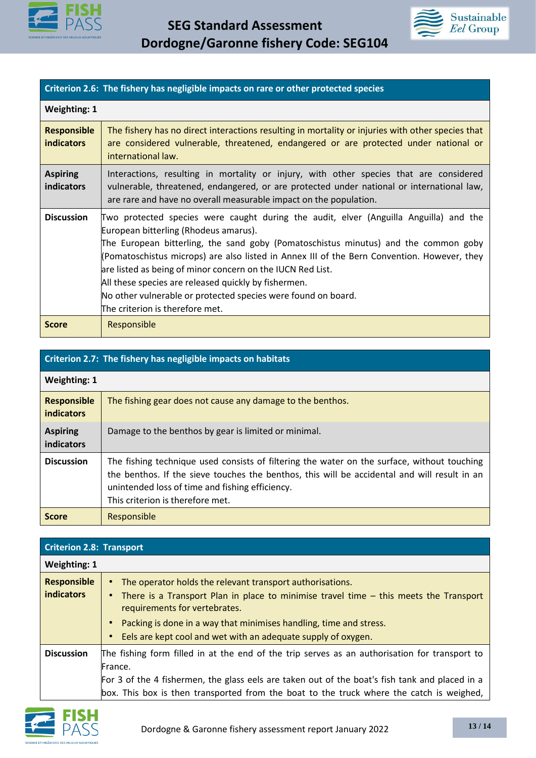



## **Criterion 2.6: The fishery has negligible impacts on rare or other protected species**

| <b>Weighting: 1</b>                     |                                                                                                                                                                                                                                                                                                                                                                                                                                                                                                                                                |  |
|-----------------------------------------|------------------------------------------------------------------------------------------------------------------------------------------------------------------------------------------------------------------------------------------------------------------------------------------------------------------------------------------------------------------------------------------------------------------------------------------------------------------------------------------------------------------------------------------------|--|
| <b>Responsible</b><br><b>indicators</b> | The fishery has no direct interactions resulting in mortality or injuries with other species that<br>are considered vulnerable, threatened, endangered or are protected under national or<br>international law.                                                                                                                                                                                                                                                                                                                                |  |
| <b>Aspiring</b><br><b>indicators</b>    | Interactions, resulting in mortality or injury, with other species that are considered<br>vulnerable, threatened, endangered, or are protected under national or international law,<br>are rare and have no overall measurable impact on the population.                                                                                                                                                                                                                                                                                       |  |
| <b>Discussion</b>                       | Two protected species were caught during the audit, elver (Anguilla Anguilla) and the<br>European bitterling (Rhodeus amarus).<br>The European bitterling, the sand goby (Pomatoschistus minutus) and the common goby<br>(Pomatoschistus microps) are also listed in Annex III of the Bern Convention. However, they<br>are listed as being of minor concern on the IUCN Red List.<br>All these species are released quickly by fishermen.<br>No other vulnerable or protected species were found on board.<br>The criterion is therefore met. |  |
| <b>Score</b>                            | Responsible                                                                                                                                                                                                                                                                                                                                                                                                                                                                                                                                    |  |

| Criterion 2.7: The fishery has negligible impacts on habitats |                                                                                                                                                                                                                                                                                    |  |  |
|---------------------------------------------------------------|------------------------------------------------------------------------------------------------------------------------------------------------------------------------------------------------------------------------------------------------------------------------------------|--|--|
| <b>Weighting: 1</b>                                           |                                                                                                                                                                                                                                                                                    |  |  |
| <b>Responsible</b><br><b>indicators</b>                       | The fishing gear does not cause any damage to the benthos.                                                                                                                                                                                                                         |  |  |
| <b>Aspiring</b><br>indicators                                 | Damage to the benthos by gear is limited or minimal.                                                                                                                                                                                                                               |  |  |
| <b>Discussion</b>                                             | The fishing technique used consists of filtering the water on the surface, without touching<br>the benthos. If the sieve touches the benthos, this will be accidental and will result in an<br>unintended loss of time and fishing efficiency.<br>This criterion is therefore met. |  |  |
| <b>Score</b>                                                  | Responsible                                                                                                                                                                                                                                                                        |  |  |

| <b>Criterion 2.8: Transport</b>         |                                                                                                                                                                                                                                                                                                                              |  |  |  |
|-----------------------------------------|------------------------------------------------------------------------------------------------------------------------------------------------------------------------------------------------------------------------------------------------------------------------------------------------------------------------------|--|--|--|
| <b>Weighting: 1</b>                     |                                                                                                                                                                                                                                                                                                                              |  |  |  |
| <b>Responsible</b><br><b>indicators</b> | The operator holds the relevant transport authorisations.<br>• There is a Transport Plan in place to minimise travel time – this meets the Transport<br>requirements for vertebrates.<br>Packing is done in a way that minimises handling, time and stress.<br>Eels are kept cool and wet with an adequate supply of oxygen. |  |  |  |
| <b>Discussion</b>                       | The fishing form filled in at the end of the trip serves as an authorisation for transport to<br>France.<br>For 3 of the 4 fishermen, the glass eels are taken out of the boat's fish tank and placed in a<br>box. This box is then transported from the boat to the truck where the catch is weighed,                       |  |  |  |